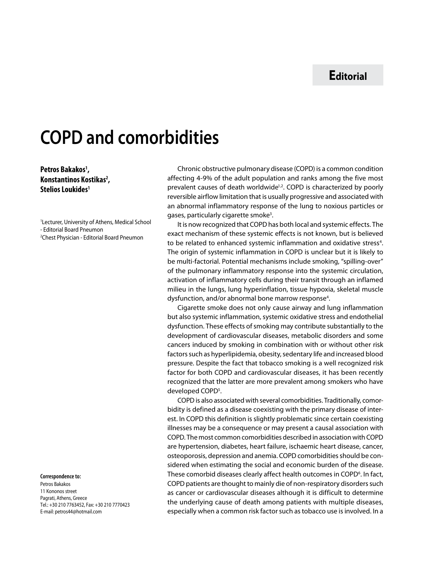# **Editorial**

# **COPD and comorbidities**

## **Petros Bakakos1 , Konstantinos Kostikas2 , Stelios Loukides1**

1 Lecturer, University of Athens, Medical School - Editorial Board Pneumon 2 Chest Physician - Editorial Board Pneumon

#### **Correspondence to:**

Petros Bakakos 11 Kononos street Pagrati, Αthens, Greece Τel.: +30 210 7763452, Fax: +30 210 7770423 E-mail: petros44@hotmail.com

Chronic obstructive pulmonary disease (COPD) is a common condition affecting 4-9% of the adult population and ranks among the five most prevalent causes of death worldwide<sup>1,2</sup>. COPD is characterized by poorly reversible airflow limitation that is usually progressive and associated with an abnormal inflammatory response of the lung to noxious particles or gases, particularly cigarette smoke<sup>3</sup>.

It is now recognized that COPD has both local and systemic effects. The exact mechanism of these systemic effects is not known, but is believed to be related to enhanced systemic inflammation and oxidative stress<sup>4</sup>. The origin of systemic inflammation in COPD is unclear but it is likely to be multi-factorial. Potential mechanisms include smoking, "spilling-over" of the pulmonary inflammatory response into the systemic circulation, activation of inflammatory cells during their transit through an inflamed milieu in the lungs, lung hyperinflation, tissue hypoxia, skeletal muscle dysfunction, and/or abnormal bone marrow response<sup>4</sup>.

Cigarette smoke does not only cause airway and lung inflammation but also systemic inflammation, systemic oxidative stress and endothelial dysfunction. These effects of smoking may contribute substantially to the development of cardiovascular diseases, metabolic disorders and some cancers induced by smoking in combination with or without other risk factors such as hyperlipidemia, obesity, sedentary life and increased blood pressure. Despite the fact that tobacco smoking is a well recognized risk factor for both COPD and cardiovascular diseases, it has been recently recognized that the latter are more prevalent among smokers who have developed COPD<sup>5</sup>.

COPD is also associated with several comorbidities. Traditionally, comorbidity is defined as a disease coexisting with the primary disease of interest. In COPD this definition is slightly problematic since certain coexisting illnesses may be a consequence or may present a causal association with COPD. The most common comorbidities described in association with COPD are hypertension, diabetes, heart failure, ischaemic heart disease, cancer, osteoporosis, depression and anemia. COPD comorbidities should be considered when estimating the social and economic burden of the disease. These comorbid diseases clearly affect health outcomes in COPD<sup>6</sup>. In fact, COPD patients are thought to mainly die of non-respiratory disorders such as cancer or cardiovascular diseases although it is difficult to determine the underlying cause of death among patients with multiple diseases, especially when a common risk factor such as tobacco use is involved. In a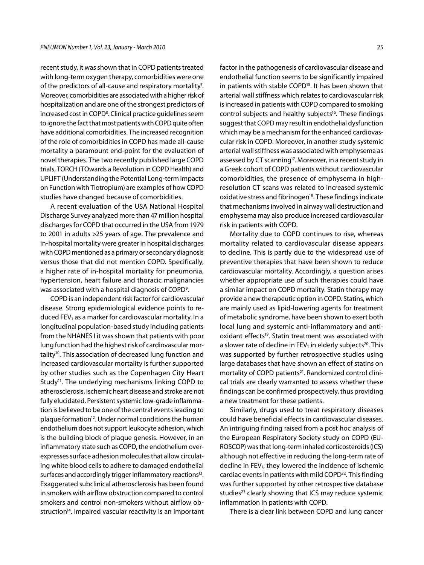recent study, it was shown that in COPD patients treated with long-term oxygen therapy, comorbidities were one of the predictors of all-cause and respiratory mortality<sup>7</sup>. Moreover, comorbidities are associated with a higher risk of hospitalization and are one of the strongest predictors of increased cost in COPD8 . Clinical practice guidelines seem to ignore the fact that most patients with COPD quite often have additional comorbidities. The increased recognition of the role of comorbidities in COPD has made all-cause mortality a paramount end-point for the evaluation of novel therapies. The two recently published large COPD trials, TORCH (TOwards a Revolution in COPD Health) and UPLIFT (Understanding the Potential Long-term Impacts on Function with Tiotropium) are examples of how COPD studies have changed because of comorbidities.

A recent evaluation of the USA National Hospital Discharge Survey analyzed more than 47 million hospital discharges for COPD that occurred in the USA from 1979 to 2001 in adults >25 years of age. The prevalence and in-hospital mortality were greater in hospital discharges with COPD mentioned as a primary or secondary diagnosis versus those that did not mention COPD. Specifically, a higher rate of in-hospital mortality for pneumonia, hypertension, heart failure and thoracic malignancies was associated with a hospital diagnosis of COPD<sup>9</sup>.

COPD is an independent risk factor for cardiovascular disease. Strong epidemiological evidence points to reduced FEV<sub>1</sub> as a marker for cardiovascular mortality. In a longitudinal population-based study including patients from the NHANES I it was shown that patients with poor lung function had the highest risk of cardiovascular mortality<sup>10</sup>. This association of decreased lung function and increased cardiovascular mortality is further supported by other studies such as the Copenhagen City Heart Study<sup>11</sup>. The underlying mechanisms linking COPD to atherosclerosis, ischemic heart disease and stroke are not fully elucidated. Persistent systemic low-grade inflammation is believed to be one of the central events leading to plaque formation<sup>12</sup>. Under normal conditions the human endothelium does not support leukocyte adhesion, which is the building block of plaque genesis. However, in an inflammatory state such as COPD, the endothelium overexpresses surface adhesion molecules that allow circulating white blood cells to adhere to damaged endothelial surfaces and accordingly trigger inflammatory reactions<sup>13</sup>. Exaggerated subclinical atherosclerosis has been found in smokers with airflow obstruction compared to control smokers and control non-smokers without airflow obstruction<sup>14</sup>. Impaired vascular reactivity is an important factor in the pathogenesis of cardiovascular disease and endothelial function seems to be significantly impaired in patients with stable COPD<sup>15</sup>. It has been shown that arterial wall stiffness which relates to cardiovascular risk is increased in patients with COPD compared to smoking control subjects and healthy subjects<sup>16</sup>. These findings suggest that COPD may result in endothelial dysfunction which may be a mechanism for the enhanced cardiovascular risk in COPD. Moreover, in another study systemic arterial wall stiffness was associated with emphysema as assessed by CT scanning<sup>17</sup>. Moreover, in a recent study in a Greek cohort of COPD patients without cardiovascular comorbidities, the presence of emphysema in highresolution CT scans was related to increased systemic oxidative stress and fibrinogen<sup>18</sup>. These findings indicate that mechanisms involved in airway wall destruction and emphysema may also produce increased cardiovascular risk in patients with COPD.

Mortality due to COPD continues to rise, whereas mortality related to cardiovascular disease appears to decline. This is partly due to the widespread use of preventive therapies that have been shown to reduce cardiovascular mortality. Accordingly, a question arises whether appropriate use of such therapies could have a similar impact on COPD mortality. Statin therapy may provide a new therapeutic option in COPD. Statins, which are mainly used as lipid-lowering agents for treatment of metabolic syndrome, have been shown to exert both local lung and systemic anti-inflammatory and antioxidant effects<sup>19</sup>. Statin treatment was associated with a slower rate of decline in FEV<sub>1</sub> in elderly subjects<sup>20</sup>. This was supported by further retrospective studies using large databases that have shown an effect of statins on mortality of COPD patients<sup>21</sup>. Randomized control clinical trials are clearly warranted to assess whether these findings can be confirmed prospectively, thus providing a new treatment for these patients.

Similarly, drugs used to treat respiratory diseases could have beneficial effects in cardiovascular diseases. An intriguing finding raised from a post hoc analysis of the European Respiratory Society study on COPD (EU-ROSCOP) was that long-term inhaled corticosteroids (ICS) although not effective in reducing the long-term rate of decline in FEV<sub>1</sub>, they lowered the incidence of ischemic cardiac events in patients with mild COPD<sup>22</sup>. This finding was further supported by other retrospective database studies<sup>23</sup> clearly showing that ICS may reduce systemic inflammation in patients with COPD.

There is a clear link between COPD and lung cancer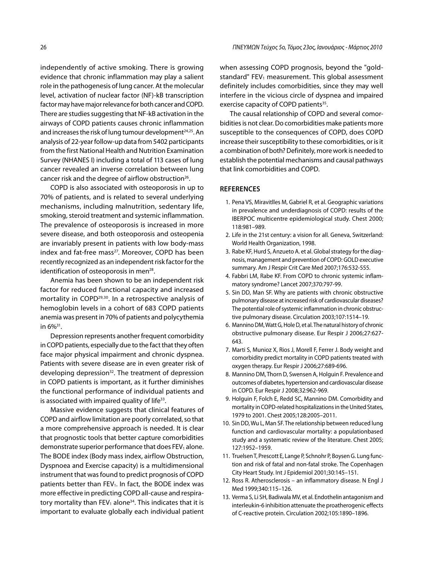independently of active smoking. There is growing evidence that chronic inflammation may play a salient role in the pathogenesis of lung cancer. At the molecular level, activation of nuclear factor (NF)-kB transcription factor may have major relevance for both cancer and COPD. There are studies suggesting that NF-kB activation in the airways of COPD patients causes chronic inflammation and increases the risk of lung tumour development $24,25$ . An analysis of 22-year follow-up data from 5402 participants from the first National Health and Nutrition Examination Survey (NHANES I) including a total of 113 cases of lung cancer revealed an inverse correlation between lung cancer risk and the degree of airflow obstruction<sup>26</sup>.

COPD is also associated with osteoporosis in up to 70% of patients, and is related to several underlying mechanisms, including malnutrition, sedentary life, smoking, steroid treatment and systemic inflammation. The prevalence of osteoporosis is increased in more severe disease, and both osteoporosis and osteopenia are invariably present in patients with low body-mass index and fat-free mass<sup>27</sup>. Moreover, COPD has been recently recognized as an independent risk factor for the identification of osteoporosis in men<sup>28</sup>.

Anemia has been shown to be an independent risk factor for reduced functional capacity and increased mortality in COPD<sup>29,30</sup>. In a retrospective analysis of hemoglobin levels in a cohort of 683 COPD patients anemia was present in 70% of patients and polycythemia in 6%31.

Depression represents another frequent comorbidity in COPD patients, especially due to the fact that they often face major physical impairment and chronic dyspnea. Patients with severe disease are in even greater risk of developing depression<sup>32</sup>. The treatment of depression in COPD patients is important, as it further diminishes the functional performance of individual patients and is associated with impaired quality of life $33$ .

Massive evidence suggests that clinical features of COPD and airflow limitation are poorly correlated, so that a more comprehensive approach is needed. It is clear that prognostic tools that better capture comorbidities demonstrate superior performance that does FEV<sub>1</sub> alone. The BODE index (Body mass index, airflow Obstruction, Dyspnoea and Exercise capacity) is a multidimensional instrument that was found to predict prognosis of COPD patients better than FEV<sub>1</sub>. In fact, the BODE index was more effective in predicting COPD all-cause and respiratory mortality than  $FEV_1$  alone<sup>34</sup>. This indicates that it is important to evaluate globally each individual patient when assessing COPD prognosis, beyond the "goldstandard"  $FEV<sub>1</sub>$  measurement. This global assessment definitely includes comorbidities, since they may well interfere in the vicious circle of dyspnea and impaired exercise capacity of COPD patients<sup>35</sup>.

The causal relationship of COPD and several comorbidities is not clear. Do comorbidities make patients more susceptible to the consequences of COPD, does COPD increase their susceptibility to these comorbidities, or is it a combination of both? Definitely, more work is needed to establish the potential mechanisms and causal pathways that link comorbidities and COPD.

### **REFERENCES**

- 1. Pena VS, Miravitlles M, Gabriel R, et al. Geographic variations in prevalence and underdiagnosis of COPD: results of the IBERPOC multicentre epidemiological study. Chest 2000; 118:981–989.
- 2. Life in the 21st century: a vision for all. Geneva, Switzerland: World Health Organization, 1998.
- 3. Rabe KF, Hurd S, Anzueto A. et al. Global strategy for the diagnosis, management and prevention of COPD: GOLD executive summary. Am J Respir Crit Care Med 2007;176:532-555.
- 4. Fabbri LM, Rabe KF. From COPD to chronic systemic inflammatory syndrome? Lancet 2007;370:797-99.
- 5. Sin DD, Man SF. Why are patients with chronic obstructive pulmonary disease at increased risk of cardiovascular diseases? The potential role of systemic inflammation in chronic obstructive pulmonary disease. Circulation 2003;107:1514–19.
- 6. Mannino DM, Watt G, Hole D, et al. The natural history of chronic obstructive pulmonary disease. Eur Respir J 2006;27:627- 643.
- 7. Marti S, Munioz X, Rios J, Morell F, Ferrer J. Body weight and comorbidity predict mortality in COPD patients treated with oxygen therapy. Eur Respir J 2006;27:689-696.
- 8. Mannino DM, Thorn D, Swensen A, Holguin F. Prevalence and outcomes of diabetes, hypertension and cardiovascular disease in COPD. Eur Respir J 2008;32:962-969.
- 9. Holguin F, Folch E, Redd SC, Mannino DM. Comorbidity and mortality in COPD-related hospitalizations in the United States, 1979 to 2001. Chest 2005;128:2005–2011.
- 10. Sin DD, Wu L, Man SF. The relationship between reduced lung function and cardiovascular mortality: a populationbased study and a systematic review of the literature. Chest 2005; 127:1952–1959.
- 11. Truelsen T, Prescott E, Lange P, Schnohr P, Boysen G. Lung function and risk of fatal and non-fatal stroke. The Copenhagen City Heart Study. Int J Epidemiol 2001;30:145–151.
- 12. Ross R. Atherosclerosis an inflammatory disease. N Engl J Med 1999;340:115–126.
- 13. Verma S, Li SH, Badiwala MV, et al. Endothelin antagonism and interleukin-6 inhibition attenuate the proatherogenic effects of C-reactive protein. Circulation 2002;105:1890–1896.